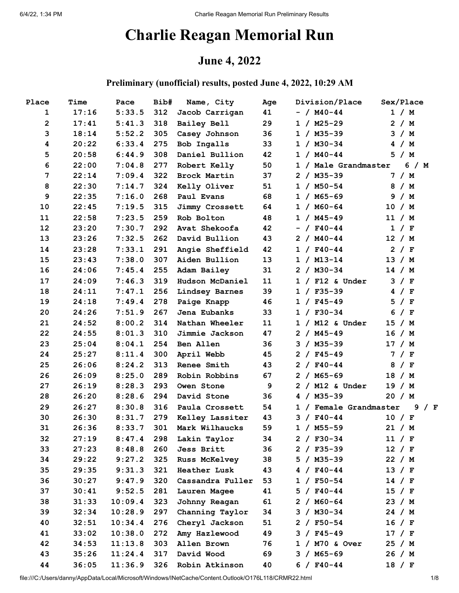# **Charlie Reagan Memorial Run**

## **June 4, 2022**

#### **Preliminary (unofficial) results, posted June 4, 2022, 10:29 AM**

| Place          | Time  | Pace    | Bib# | Name, City           | Age | Division/Place         | Sex/Place  |
|----------------|-------|---------|------|----------------------|-----|------------------------|------------|
| 1              | 17:16 | 5:33.5  | 312  | Jacob Carrigan       | 41  | $- / M40 - 44$         | 1 / M      |
| $\overline{2}$ | 17:41 | 5:41.3  | 318  | Bailey Bell          | 29  | $1 / M25 - 29$         | 2 / M      |
| 3              | 18:14 | 5:52.2  | 305  | Casey Johnson        | 36  | $1 / M35 - 39$         | 3 / M      |
| 4              | 20:22 | 6:33.4  | 275  | Bob Ingalls          | 33  | $1 / M30-34$           | 4 / M      |
| 5              | 20:58 | 6:44.9  | 308  | Daniel Bullion       | 42  | $1 / M40 - 44$         | 5 / M      |
| 6              | 22:00 | 7:04.8  | 277  | Robert Kelly         | 50  | 1 / Male Grandmaster   | 6 / M      |
| $\overline{7}$ | 22:14 | 7:09.4  | 322  | Brock Martin         | 37  | $2 / M35 - 39$         | 7 / M      |
| 8              | 22:30 | 7:14.7  | 324  | Kelly Oliver         | 51  | $1 / M50-54$           | 8 / M      |
| 9              | 22:35 | 7:16.0  | 268  | Paul Evans           | 68  | $1 / M65 - 69$         | 9/M        |
| 10             | 22:45 | 7:19.5  | 315  | Jimmy Crossett       | 64  | $1 / MO-64$            | 10 / M     |
| 11             | 22:58 | 7:23.5  | 259  | Rob Bolton           | 48  | $1 / M45 - 49$         | 11 / M     |
| 12             | 23:20 | 7:30.7  | 292  | Avat Shekoofa        | 42  | $- /$ F40-44           | 1 / F      |
| 13             | 23:26 | 7:32.5  | 262  | David Bullion        | 43  | $2 / M40 - 44$         | 12 / M     |
| 14             | 23:28 | 7:33.1  | 291  | Angie Sheffield      | 42  | $1 / F40 - 44$         | 2 / F      |
| 15             | 23:43 | 7:38.0  | 307  | Aiden Bullion        | 13  | $1 / M13 - 14$         | 13 / M     |
| 16             | 24:06 | 7:45.4  | 255  | Adam Bailey          | 31  | $2 / M30-34$           | 14 / M     |
| 17             | 24:09 | 7:46.3  | 319  | Hudson McDaniel      | 11  | $1 / F12$ & Under      | 3 / F      |
| 18             | 24:11 | 7:47.1  | 256  | Lindsey Barnes       | 39  | $1 / F35 - 39$         | 4 / F      |
| 19             | 24:18 | 7:49.4  | 278  | Paige Knapp          | 46  | $1 / F45 - 49$         | 5<br>/ $F$ |
| 20             | 24:26 | 7:51.9  | 267  | Jena Eubanks         | 33  | $1 / F30-34$           | 6<br>/ $F$ |
| 21             | 24:52 | 8:00.2  | 314  | Nathan Wheeler       | 11  | $1 / M12$ & Under      | 15 / M     |
| 22             | 24:55 | 8:01.3  | 310  | Jimmie Jackson       | 47  | $2 / M45 - 49$         | 16 / M     |
| 23             | 25:04 | 8:04.1  | 254  | Ben Allen            | 36  | $3 / MS5 - 39$         | 17 / M     |
| 24             | 25:27 | 8:11.4  | 300  | April Webb           | 45  | $2 / F45 - 49$         | 7 / F      |
| 25             | 26:06 | 8:24.2  | 313  | Renee Smith          | 43  | $2 / F40 - 44$         | 8<br>/ F   |
| 26             | 26:09 | 8:25.0  | 289  | Robin Robbins        | 67  | $2 / M65 - 69$         | 18 / M     |
| 27             | 26:19 | 8:28.3  | 293  | Owen Stone           | 9   | $2 / M12$ & Under      | 19 / M     |
| 28             | 26:20 | 8:28.6  | 294  | David Stone          | 36  | $4 / M35 - 39$         | 20 / M     |
| 29             | 26:27 | 8:30.8  | 316  | Paula Crossett       | 54  | 1 / Female Grandmaster | 9 / F      |
| 30             | 26:30 | 8:31.7  | 279  | Kelley Lassiter      | 43  | $3 / F40-44$           | 10 / F     |
| 31             | 26:36 | 8:33.7  | 301  | Mark Wilhaucks       | 59  | $1 / M55 - 59$         | 21 / M     |
| 32             | 27:19 | 8:47.4  | 298  | Lakin Taylor         | 34  | $2 / F30-34$           | 11 / F     |
| 33             | 27:23 | 8:48.8  | 260  | Jess Britt           | 36  | $2 / F35 - 39$         | 12 / F     |
| 34             | 29:22 | 9:27.2  | 325  | <b>Russ McKelvey</b> | 38  | $5 / MS5 - 39$         | 22 / M     |
| 35             | 29:35 | 9:31.3  | 321  | <b>Heather Lusk</b>  | 43  | $4 / F40 - 44$         | 13 / F     |
| 36             | 30:27 | 9:47.9  | 320  | Cassandra Fuller     | 53  | $1 / F50-54$           | 14 / F     |
| 37             | 30:41 | 9:52.5  | 281  | Lauren Magee         | 41  | $5 / F40-44$           | 15 / F     |
| 38             | 31:33 | 10:09.4 | 323  | Johnny Reagan        | 61  | $2 / MO-64$            | 23 / M     |
| 39             | 32:34 | 10:28.9 | 297  | Channing Taylor      | 34  | $3 / M30 - 34$         | 24 / M     |
| 40             | 32:51 | 10:34.4 | 276  | Cheryl Jackson       | 51  | $2 / F50-54$           | 16 / F     |
| 41             | 33:02 | 10:38.0 | 272  | Amy Hazlewood        | 49  | $3 / F45 - 49$         | 17 / F     |
| 42             | 34:53 | 11:13.8 | 303  | Allen Brown          | 76  | 1 / M70 & Over         | 25 / M     |
| 43             | 35:26 | 11:24.4 | 317  | David Wood           | 69  | $3 / M65 - 69$         | 26 / M     |
| 44             | 36:05 | 11:36.9 | 326  | Robin Atkinson       | 40  | $6 / F40 - 44$         | 18 / F     |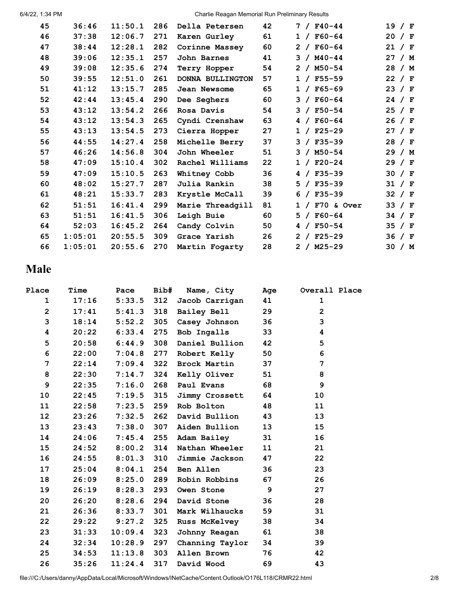6/4/22, 1:34 PM Charlie Reagan Memorial Run Preliminary Results

| 45 | 36:46   | 11:50.1 | 286 | Della Petersen          | 42 | $7 / F40 - 44$   | 19 / F   |  |
|----|---------|---------|-----|-------------------------|----|------------------|----------|--|
| 46 | 37:38   | 12:06.7 | 271 | Karen Gurley            | 61 | $1 / F60 - 64$   | 20 / F   |  |
| 47 | 38:44   | 12:28.1 | 282 | Corinne Massey          | 60 | $2 / F60-64$     | 21 / F   |  |
| 48 | 39:06   | 12:35.1 | 257 | John Barnes             | 41 | $3 / M40 - 44$   | 27 / M   |  |
| 49 | 39:08   | 12:35.6 | 274 | Terry Hopper            | 54 | $2 / M50 - 54$   | 28 / M   |  |
| 50 | 39:55   | 12:51.0 | 261 | <b>DONNA BULLINGTON</b> | 57 | $1 / F55 - 59$   | 22 / $F$ |  |
| 51 | 41:12   | 13:15.7 | 285 | Jean Newsome            | 65 | $1 / F65 - 69$   | 23 / F   |  |
| 52 | 42:44   | 13:45.4 | 290 | Dee Seghers             | 60 | $3 / F60 - 64$   | 24 / $F$ |  |
| 53 | 43:12   | 13:54.2 | 266 | Rosa Davis              | 54 | $3 / F50 - 54$   | 25 / F   |  |
| 54 | 43:12   | 13:54.3 | 265 | Cyndi Crenshaw          | 63 | $4 / F60 - 64$   | 26 / F   |  |
| 55 | 43:13   | 13:54.5 | 273 | Cierra Hopper           | 27 | $1 / F25 - 29$   | 27 / F   |  |
| 56 | 44:55   | 14:27.4 | 258 | Michelle Berry          | 37 | $3 / F35 - 39$   | 28 / F   |  |
| 57 | 46:26   | 14:56.8 | 304 | John Wheeler            | 51 | $3 / M50 - 54$   | 29 / M   |  |
| 58 | 47:09   | 15:10.4 | 302 | Rachel Williams         | 22 | $1 / F20-24$     | 29 / F   |  |
| 59 | 47:09   | 15:10.5 | 263 | Whitney Cobb            | 36 | $4 / F35 - 39$   | 30 / F   |  |
| 60 | 48:02   | 15:27.7 | 287 | Julia Rankin            | 38 | $5 / F35 - 39$   | 31 / F   |  |
| 61 | 48:21   | 15:33.7 | 283 | Krystle McCall          | 39 | $6 / F35 - 39$   | 32 / F   |  |
| 62 | 51:51   | 16:41.4 | 299 | Marie Threadgill        | 81 | $1 / F70$ & Over | 33 / F   |  |
| 63 | 51:51   | 16:41.5 | 306 | Leigh Buie              | 60 | $5 / F60 - 64$   | 34 / F   |  |
| 64 | 52:03   | 16:45.2 | 264 | Candy Colvin            | 50 | $4 / F50 - 54$   | 35 / F   |  |
| 65 | 1:05:01 | 20:55.5 | 309 | Grace Yarish            | 26 | $2 / F25-29$     | 36 / F   |  |
| 66 | 1:05:01 | 20:55.6 | 270 | Martin Fogarty          | 28 | $2 / M25 - 29$   | 30 / M   |  |

## **Male**

| Place           | Time  | Pace         | Bib# | Name, City           | Age | Overall Place  |
|-----------------|-------|--------------|------|----------------------|-----|----------------|
| $\mathbf 1$     | 17:16 | $5:33.5$ 312 |      | Jacob Carrigan       | 41  | $\mathbf 1$    |
| $\overline{2}$  | 17:41 | $5:41.3$ 318 |      | Bailey Bell          | 29  | $\overline{2}$ |
| 3               | 18:14 | 5:52.2       | 305  | Casey Johnson        | 36  | 3              |
| 4               | 20:22 | 6:33.4       | 275  | Bob Ingalls          | 33  | 4              |
| 5               | 20:58 | $6:44.9$ 308 |      | Daniel Bullion       | 42  | 5              |
| 6               | 22:00 | 7:04.8       | 277  | Robert Kelly         | 50  | 6              |
| 7               | 22:14 | $7:09.4$ 322 |      | <b>Brock Martin</b>  | 37  | 7              |
| 8               | 22:30 | 7:14.7       | 324  | Kelly Oliver         | 51  | 8              |
| 9               | 22:35 | 7:16.0       | 268  | Paul Evans           | 68  | 9              |
| 10              | 22:45 | $7:19.5$ 315 |      | Jimmy Crossett       | 64  | 10             |
| 11              | 22:58 | 7:23.5       | 259  | Rob Bolton           | 48  | 11             |
| 12 <sub>2</sub> | 23:26 | $7:32.5$ 262 |      | David Bullion        | 43  | 13             |
| 13              | 23:43 | $7:38.0$ 307 |      | Aiden Bullion        | 13  | 15             |
| 14              | 24:06 | $7:45.4$ 255 |      | Adam Bailey          | 31  | 16             |
| 15              | 24:52 | $8:00.2$ 314 |      | Nathan Wheeler       | 11  | 21             |
| 16              | 24:55 | $8:01.3$ 310 |      | Jimmie Jackson       | 47  | 22             |
| 17              | 25:04 | $8:04.1$ 254 |      | Ben Allen            | 36  | 23             |
| 18              | 26:09 | 8:25.0       | 289  | Robin Robbins        | 67  | 26             |
| 19              | 26:19 | $8:28.3$ 293 |      | Owen Stone           | 9   | 27             |
| 20              | 26:20 | $8:28.6$ 294 |      | David Stone          | 36  | 28             |
| 21              | 26:36 | 8:33.7       | 301  | Mark Wilhaucks       | 59  | 31             |
| 22              | 29:22 | 9:27.2       | 325  | <b>Russ McKelvey</b> | 38  | 34             |
| 23              | 31:33 | 10:09.4      | 323  | Johnny Reagan        | 61  | 38             |
| 24              | 32:34 | 10:28.9      | 297  | Channing Taylor      | 34  | 39             |
| 25              | 34:53 | 11:13.8      | 303  | Allen Brown          | 76  | 42             |
| 26              | 35:26 | 11:24.4      | 317  | David Wood           | 69  | 43             |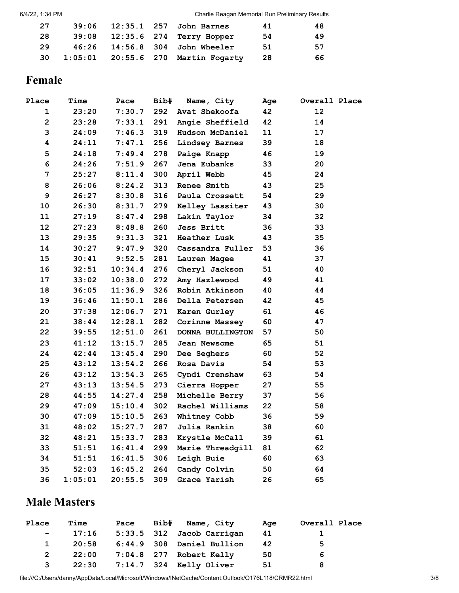| 27  |  | 39:06 12:35.1 257 John Barnes         | 41  | 48 |
|-----|--|---------------------------------------|-----|----|
| 28  |  | 39:08 12:35.6 274 Terry Hopper        | -54 | 49 |
| 29. |  | 46:26  14:56.8  304  John Wheeler     | -51 | 57 |
| 30  |  | 1:05:01  20:55.6  270  Martin Fogarty | -28 | 66 |

#### **Female**

| Place          | Time    | Pace    | Bib# | Name, City          | Age | Overall Place |  |
|----------------|---------|---------|------|---------------------|-----|---------------|--|
| $\mathbf{1}$   | 23:20   | 7:30.7  | 292  | Avat Shekoofa       | 42  | 12            |  |
| $\overline{2}$ | 23:28   | 7:33.1  | 291  | Angie Sheffield     | 42  | 14            |  |
| 3              | 24:09   | 7:46.3  | 319  | Hudson McDaniel     | 11  | 17            |  |
| 4              | 24:11   | 7:47.1  | 256  | Lindsey Barnes      | 39  | 18            |  |
| 5              | 24:18   | 7:49.4  | 278  | Paige Knapp         | 46  | 19            |  |
| 6              | 24:26   | 7:51.9  | 267  | Jena Eubanks        | 33  | 20            |  |
| $\overline{7}$ | 25:27   | 8:11.4  | 300  | April Webb          | 45  | 24            |  |
| 8              | 26:06   | 8:24.2  | 313  | Renee Smith         | 43  | 25            |  |
| 9              | 26:27   | 8:30.8  | 316  | Paula Crossett      | 54  | 29            |  |
| 10             | 26:30   | 8:31.7  | 279  | Kelley Lassiter     | 43  | 30            |  |
| 11             | 27:19   | 8:47.4  | 298  | Lakin Taylor        | 34  | 32            |  |
| 12             | 27:23   | 8:48.8  | 260  | Jess Britt          | 36  | 33            |  |
| 13             | 29:35   | 9:31.3  | 321  | <b>Heather Lusk</b> | 43  | 35            |  |
| 14             | 30:27   | 9:47.9  | 320  | Cassandra Fuller    | 53  | 36            |  |
| 15             | 30:41   | 9:52.5  | 281  | Lauren Magee        | 41  | 37            |  |
| 16             | 32:51   | 10:34.4 | 276  | Cheryl Jackson      | 51  | 40            |  |
| 17             | 33:02   | 10:38.0 | 272  | Amy Hazlewood       | 49  | 41            |  |
| 18             | 36:05   | 11:36.9 | 326  | Robin Atkinson      | 40  | 44            |  |
| 19             | 36:46   | 11:50.1 | 286  | Della Petersen      | 42  | 45            |  |
| 20             | 37:38   | 12:06.7 | 271  | Karen Gurley        | 61  | 46            |  |
| 21             | 38:44   | 12:28.1 | 282  | Corinne Massey      | 60  | 47            |  |
| 22             | 39:55   | 12:51.0 | 261  | DONNA BULLINGTON    | 57  | 50            |  |
| 23             | 41:12   | 13:15.7 | 285  | Jean Newsome        | 65  | 51            |  |
| 24             | 42:44   | 13:45.4 | 290  | Dee Seghers         | 60  | 52            |  |
| 25             | 43:12   | 13:54.2 | 266  | Rosa Davis          | 54  | 53            |  |
| 26             | 43:12   | 13:54.3 | 265  | Cyndi Crenshaw      | 63  | 54            |  |
| 27             | 43:13   | 13:54.5 | 273  | Cierra Hopper       | 27  | 55            |  |
| 28             | 44:55   | 14:27.4 | 258  | Michelle Berry      | 37  | 56            |  |
| 29             | 47:09   | 15:10.4 | 302  | Rachel Williams     | 22  | 58            |  |
| 30             | 47:09   | 15:10.5 | 263  | Whitney Cobb        | 36  | 59            |  |
| 31             | 48:02   | 15:27.7 | 287  | Julia Rankin        | 38  | 60            |  |
| 32             | 48:21   | 15:33.7 | 283  | Krystle McCall      | 39  | 61            |  |
| 33             | 51:51   | 16:41.4 | 299  | Marie Threadgill    | 81  | 62            |  |
| 34             | 51:51   | 16:41.5 | 306  | Leigh Buie          | 60  | 63            |  |
| 35             | 52:03   | 16:45.2 | 264  | Candy Colvin        | 50  | 64            |  |
| 36             | 1:05:01 | 20:55.5 | 309  | Grace Yarish        | 26  | 65            |  |

## **Male Masters**

| Place             | Time  | Pace | Bib# Name, City               | Age | Overall Place |
|-------------------|-------|------|-------------------------------|-----|---------------|
| $\sim$ 100 $\sim$ | 17:16 |      | 5:33.5 312 Jacob Carrigan     | 41  |               |
| $\mathbf{1}$      | 20:58 |      | 6:44.9 308 Daniel Bullion     | 42  | 5             |
| 2                 | 22:00 |      | 7:04.8 277 Robert Kelly       | 50  | 6             |
| 3                 |       |      | 22:30 7:14.7 324 Kelly Oliver | 51  | 8             |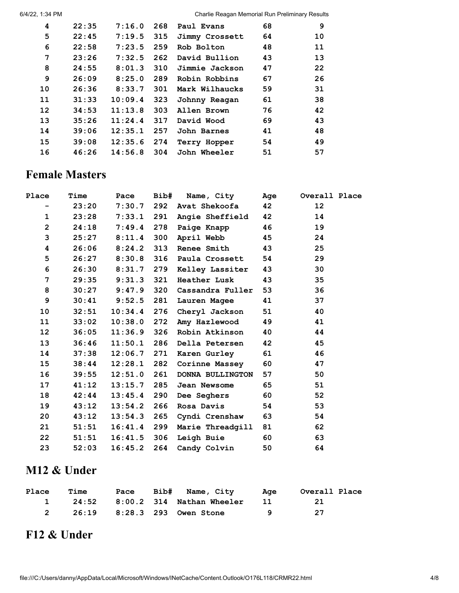6/4/22, 1:34 PM Charlie Reagan Memorial Run Preliminary Results

| 4  | 22:35 | 7:16.0  | 268 | Paul Evans     | 68 | 9  |
|----|-------|---------|-----|----------------|----|----|
| 5  | 22:45 | 7:19.5  | 315 | Jimmy Crossett | 64 | 10 |
| 6  | 22:58 | 7:23.5  | 259 | Rob Bolton     | 48 | 11 |
| 7  | 23:26 | 7:32.5  | 262 | David Bullion  | 43 | 13 |
| 8  | 24:55 | 8:01.3  | 310 | Jimmie Jackson | 47 | 22 |
| 9  | 26:09 | 8:25.0  | 289 | Robin Robbins  | 67 | 26 |
| 10 | 26:36 | 8:33.7  | 301 | Mark Wilhaucks | 59 | 31 |
| 11 | 31:33 | 10:09.4 | 323 | Johnny Reagan  | 61 | 38 |
| 12 | 34:53 | 11:13.8 | 303 | Allen Brown    | 76 | 42 |
| 13 | 35:26 | 11:24.4 | 317 | David Wood     | 69 | 43 |
| 14 | 39:06 | 12:35.1 | 257 | John Barnes    | 41 | 48 |
| 15 | 39:08 | 12:35.6 | 274 | Terry Hopper   | 54 | 49 |
| 16 | 46:26 | 14:56.8 | 304 | John Wheeler   | 51 | 57 |
|    |       |         |     |                |    |    |

#### **Female Masters**

| Place                    | Time  | Pace             | Bib# | Name, City          | Age | Overall Place |
|--------------------------|-------|------------------|------|---------------------|-----|---------------|
| $\overline{\phantom{0}}$ | 23:20 | 7:30.7           |      | 292 Avat Shekoofa   | 42  | 12            |
| $\mathbf{1}$             | 23:28 | 7:33.1           | 291  | Angie Sheffield     | 42  | 14            |
| $\overline{2}$           | 24:18 | 7:49.4           | 278  | Paige Knapp         | 46  | 19            |
| 3                        | 25:27 | 8:11.4           | 300  | April Webb          | 45  | 24            |
| 4                        | 26:06 | 8:24.2           | 313  | <b>Renee Smith</b>  | 43  | 25            |
| 5                        |       | $26:27$ $8:30.8$ | 316  | Paula Crossett      | 54  | 29            |
| 6                        | 26:30 | 8:31.7           | 279  | Kelley Lassiter     | 43  | 30            |
| 7                        |       | $29:35$ $9:31.3$ | 321  | <b>Heather Lusk</b> | 43  | 35            |
| 8                        | 30:27 | 9:47.9           | 320  | Cassandra Fuller    | 53  | 36            |
| 9                        |       | $30:41$ $9:52.5$ | 281  | Lauren Magee        | 41  | 37            |
| 10                       | 32:51 | 10:34.4          | 276  | Cheryl Jackson      | 51  | 40            |
| 11                       | 33:02 | 10:38.0          | 272  | Amy Hazlewood       | 49  | 41            |
| 12 <sub>2</sub>          | 36:05 | 11:36.9          | 326  | Robin Atkinson      | 40  | 44            |
| 13                       | 36:46 | 11:50.1          | 286  | Della Petersen      | 42  | 45            |
| 14                       | 37:38 | 12:06.7          | 271  | Karen Gurley        | 61  | 46            |
| 15                       | 38:44 | 12:28.1          | 282  | Corinne Massey      | 60  | 47            |
| 16                       | 39:55 | 12:51.0          | 261  | DONNA BULLINGTON    | 57  | 50            |
| 17                       | 41:12 | 13:15.7          | 285  | Jean Newsome        | 65  | 51            |
| 18                       | 42:44 | 13:45.4          | 290  | Dee Seghers         | 60  | 52            |
| 19                       | 43:12 | 13:54.2          | 266  | Rosa Davis          | 54  | 53            |
| 20                       | 43:12 | 13:54.3          | 265  | Cyndi Crenshaw      | 63  | 54            |
| 21                       | 51:51 | 16:41.4          | 299  | Marie Threadgill    | 81  | 62            |
| 22                       | 51:51 | 16:41.5          | 306  | <b>Leigh Buie</b>   | 60  | 63            |
| 23                       | 52:03 | 16:45.2          | 264  | Candy Colvin        | 50  | 64            |
|                          |       |                  |      |                     |     |               |

## **M12 & Under**

| Place | Time | Pace | Bib# Name, City                   | Aqe                         | Overall Place |
|-------|------|------|-----------------------------------|-----------------------------|---------------|
|       |      |      | 1 24:52 8:00.2 314 Nathan Wheeler | $\overline{\phantom{1}}$ 11 |               |
|       |      |      | 26:19 8:28.3 293 Owen Stone       | Q                           | - 27          |

## **F12 & Under**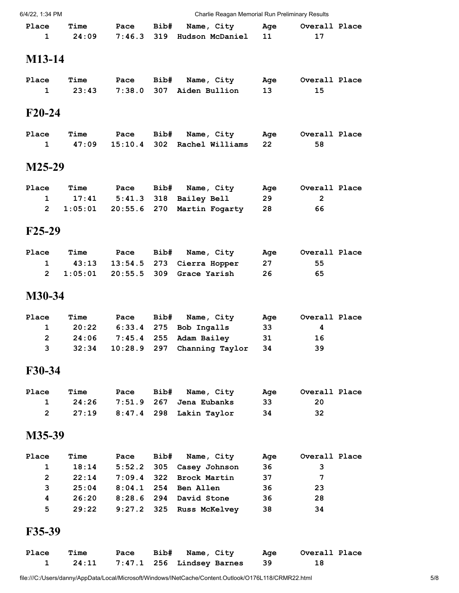| 6/4/22, 1:34 PM       |         |         |             | Charlie Reagan Memorial Run Preliminary Results |           |                |  |
|-----------------------|---------|---------|-------------|-------------------------------------------------|-----------|----------------|--|
| Place                 | Time    | Pace    | Bib#        | Name, City                                      | Age       | Overall Place  |  |
| $\mathbf{1}$          | 24:09   | 7:46.3  | 319         | Hudson McDaniel                                 | 11        | 17             |  |
| M13-14                |         |         |             |                                                 |           |                |  |
| Place                 | Time    | Pace    |             |                                                 |           | Overall Place  |  |
| $\mathbf{1}$          | 23:43   | 7:38.0  | Bib#<br>307 | Name, City<br>Aiden Bullion                     | Age<br>13 | 15             |  |
|                       |         |         |             |                                                 |           |                |  |
| $F20-24$              |         |         |             |                                                 |           |                |  |
| Place                 | Time    | Pace    | Bib#        | Name, City                                      | Age       | Overall Place  |  |
| 1                     | 47:09   | 15:10.4 | 302         | Rachel Williams                                 | 22        | 58             |  |
| M25-29                |         |         |             |                                                 |           |                |  |
| Place                 | Time    | Pace    | Bib#        | Name, City                                      | Age       | Overall Place  |  |
| 1                     | 17:41   | 5:41.3  | 318         | Bailey Bell                                     | 29        | $\overline{2}$ |  |
| $\overline{2}$        | 1:05:01 | 20:55.6 | 270         | Martin Fogarty                                  | 28        | 66             |  |
| $F25-29$              |         |         |             |                                                 |           |                |  |
| Place                 | Time    | Pace    | Bib#        | Name, City                                      | Age       | Overall Place  |  |
| 1                     | 43:13   | 13:54.5 | 273         | Cierra Hopper                                   | 27        | 55             |  |
| $\mathbf{2}^{\prime}$ | 1:05:01 | 20:55.5 | 309         | Grace Yarish                                    | 26        | 65             |  |
| M30-34                |         |         |             |                                                 |           |                |  |
| Place                 | Time    | Pace    | Bib#        | Name, City                                      | Age       | Overall Place  |  |
| 1                     | 20:22   | 6:33.4  | 275         | Bob Ingalls                                     | 33        | 4              |  |
| 2                     | 24:06   | 7:45.4  | 255         | Adam Bailey                                     | 31        | 16             |  |
| 3                     | 32:34   | 10:28.9 | 297         | Channing Taylor                                 | 34        | 39             |  |
| F30-34                |         |         |             |                                                 |           |                |  |
| Place                 | Time    | Pace    | Bib#        | Name, City                                      | Age       | Overall Place  |  |
| 1                     | 24:26   | 7:51.9  | 267         | Jena Eubanks                                    | 33        | 20             |  |
| $\mathbf{2}$          | 27:19   | 8:47.4  | 298         | Lakin Taylor                                    | 34        | 32             |  |
| M35-39                |         |         |             |                                                 |           |                |  |
| Place                 | Time    | Pace    | Bib#        | Name, City                                      | Age       | Overall Place  |  |
| 1                     | 18:14   | 5:52.2  | 305         | Casey Johnson                                   | 36        | 3              |  |
| $\overline{2}$        | 22:14   | 7:09.4  | 322         | <b>Brock Martin</b>                             | 37        | 7              |  |
| 3                     | 25:04   | 8:04.1  | 254         | Ben Allen                                       | 36        | 23             |  |
| 4                     | 26:20   | 8:28.6  | 294         | David Stone                                     | 36        | 28             |  |
| 5                     | 29:22   | 9:27.2  | 325         | <b>Russ McKelvey</b>                            | 38        | 34             |  |
| F35-39                |         |         |             |                                                 |           |                |  |
| Place                 | Time    | Pace    | Bib#        | Name, City                                      | Age       | Overall Place  |  |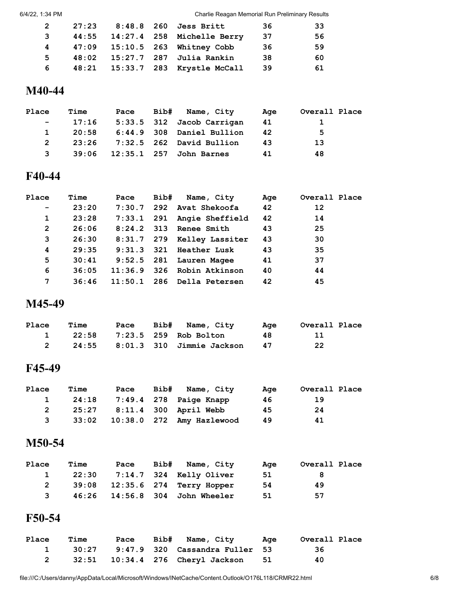6/4/22, 1:34 PM Charlie Reagan Memorial Run Preliminary Results

| 2            |  | 27:23 8:48.8 260 Jess Britt       | -36  | 33 |
|--------------|--|-----------------------------------|------|----|
| $\mathbf{3}$ |  | 44:55 14:27.4 258 Michelle Berry  | -37  | 56 |
|              |  | 4 47:09 15:10.5 263 Whitney Cobb  | -36  | 59 |
| 5            |  | 48:02  15:27.7  287  Julia Rankin | -38  | 60 |
| 6            |  | 48:21 15:33.7 283 Krystle McCall  | - 39 | 61 |

#### **M40-44**

| Place        | <b>Time</b> |  | Pace Bib# Name, City                | Aqe | Overall Place |
|--------------|-------------|--|-------------------------------------|-----|---------------|
| $\sim$ $-$   | 17:16       |  | 5:33.5 312 Jacob Carrigan           | -41 |               |
| $\mathbf{1}$ | 20:58       |  | 6:44.9 308 Daniel Bullion           | 42  | 5.            |
| 2            |             |  | 23:26 7:32.5 262 David Bullion      | 43  | 13            |
| 3            |             |  | 39:06   12:35.1   257   John Barnes | 41  | 48            |

#### **F40-44**

| Place             | <b>Time</b> | Pace | Bib# Name, City                | Age | Overall Place |
|-------------------|-------------|------|--------------------------------|-----|---------------|
| $\qquad \qquad -$ | 23:20       |      | 7:30.7 292 Avat Shekoofa       | 42  | 12            |
| 1                 | 23:28       |      | 7:33.1 291 Angie Sheffield     | 42  | 14            |
| 2                 | 26:06       |      | 8:24.2 313 Renee Smith         | 43  | 25            |
| 3                 | 26:30       |      | 8:31.7 279 Kelley Lassiter     | 43  | 30            |
| 4                 | 29:35       |      | $9:31.3$ $321$ Heather Lusk    | 43  | 35            |
| 5                 | 30:41       |      | 9:52.5 281 Lauren Magee        | 41  | 37            |
| 6                 | 36:05       |      | $11:36.9$ $326$ Robin Atkinson | 40  | 44            |
| 7                 | 36:46       |      | $11:50.1$ 286 Della Petersen   | 42  | 45            |

### **M45-49**

| Place | Time |  | Pace Bib# Name, City          | Age | Overall Place |
|-------|------|--|-------------------------------|-----|---------------|
|       |      |  | 1 22:58 7:23.5 259 Rob Bolton | 48. | -11           |
|       |      |  |                               | 47  | 22            |

#### **F45-49**

| Place        | Time  | Pace | Bib# | Name, City                         | Aae | Overall Place |
|--------------|-------|------|------|------------------------------------|-----|---------------|
| $\mathbf{1}$ | 24:18 |      |      | 7:49.4 278 Paige Knapp             | 46. | 19            |
| 2            |       |      |      | 25:27 8:11.4 300 April Webb        | 45  | 24            |
| 3            |       |      |      | 33:02  10:38.0  272  Amy Hazlewood | 49  | 41            |

#### **M50-54**

| Place        | Time | Pace | Bib# | Name, City                        | Aae | Overall Place |  |
|--------------|------|------|------|-----------------------------------|-----|---------------|--|
| $\mathbf{1}$ |      |      |      | 22:30 7:14.7 324 Kelly Oliver     | 51  | -8            |  |
| 2            |      |      |      | 39:08 12:35.6 274 Terry Hopper    | 54  | 49            |  |
| $\mathbf{3}$ |      |      |      | 46:26  14:56.8  304  John Wheeler | 51  | 57            |  |

#### **F50-54**

| Place | Time  |  | Pace Bib# Name, City Age                | Overall Place |
|-------|-------|--|-----------------------------------------|---------------|
|       | 30:27 |  | 9:47.9 320 Cassandra Fuller 53          | -36           |
|       |       |  | 32:51  10:34.4  276  Cheryl Jackson  51 | 40            |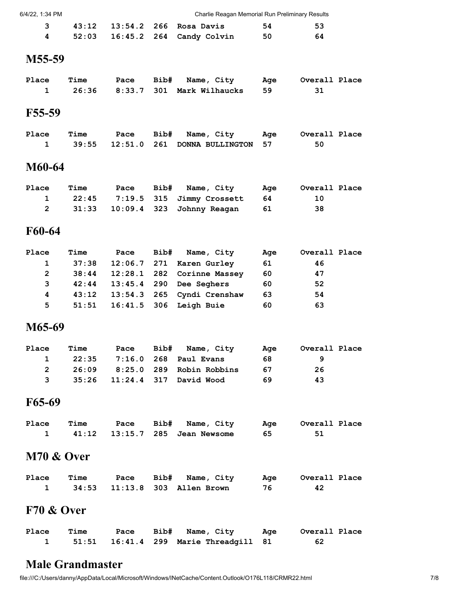| 6/4/22, 1:34 PM |  |
|-----------------|--|

| 6/4/22. 1:34 PM | Charlie Reagan Memorial Run Preliminary Results |  |
|-----------------|-------------------------------------------------|--|
|                 |                                                 |  |

|  |  | 3 43:12 13:54.2 266 Rosa Davis      | 54 | -53 |
|--|--|-------------------------------------|----|-----|
|  |  | 4 52:03 16:45.2 264 Candy Colvin 50 |    | -64 |

#### **M55-59**

| Place | Time |  | Pace Bib# Name, City                 | <u>a a dia amin'ny fivondronan-kaominin'i Aqe</u> | Overall Place |
|-------|------|--|--------------------------------------|---------------------------------------------------|---------------|
|       |      |  | 1 26:36 8:33.7 301 Mark Wilhaucks 59 |                                                   |               |

#### **F55-59**

| Place | Time |  | Pace Bib# Name, City<br><u>sa and Age and Samuel State and Se</u> | Overall Place |
|-------|------|--|-------------------------------------------------------------------|---------------|
|       |      |  | 39:55   12:51.0   261   DONNA   BULLINGTON   57                   | 50            |

## **M60-64**

| Place | Time | Pace | Bib# Name, City                          | Aae | Overall Place |
|-------|------|------|------------------------------------------|-----|---------------|
|       |      |      | 22:45 7:19.5 315 Jimmy Crossett 64       |     | 10            |
|       |      |      | 31:33    10:09.4    323    Johnny Reagan | 61  | 38            |

#### **F60-64**

| Place        | <b>Time</b> |  | Pace Bib# Name, City            | Age | Overall Place |
|--------------|-------------|--|---------------------------------|-----|---------------|
| $\mathbf{1}$ | 37:38       |  | $12:06.7$ 271 Karen Gurley      | 61  | 46            |
| $\mathbf{2}$ | 38:44       |  | 12:28.1 282 Corinne Massey      | 60  | 47            |
| 3            |             |  | 42:44 13:45.4 290 Dee Seghers   | 60  | 52            |
| 4            | 43:12       |  | 13:54.3 265 Cyndi Crenshaw      | 63  | 54            |
| 5.           |             |  | 51:51  16:41.5  306  Leigh Buie | 60  | 63            |

#### **M65-69**

| Place | Time |  | Pace Bib# Name, City             | Aae | Overall Place |
|-------|------|--|----------------------------------|-----|---------------|
|       |      |  | 1 22:35 7:16.0 268 Paul Evans    | 68. |               |
|       |      |  | 2 26:09 8:25.0 289 Robin Robbins | -67 | -26           |
|       |      |  | 3 35:26 11:24.4 317 David Wood   | 69  | 43            |

## **F65-69**

| Place | Time |  | Pace Bib# Name, City Age Overall Place |    |  |
|-------|------|--|----------------------------------------|----|--|
|       |      |  | 1 41:12 13:15.7 285 Jean Newsome       | 65 |  |

#### **M70 & Over**

| Place | Time |  | Pace Bib# Name, City            |    | Age Overall Place |
|-------|------|--|---------------------------------|----|-------------------|
|       |      |  | 1 34:53 11:13.8 303 Allen Brown | 76 |                   |

### **F70 & Over**

| Place | Time |  | Pace Bib# Name, City                    | <b>Example 2</b> | Overall Place |
|-------|------|--|-----------------------------------------|------------------|---------------|
|       |      |  | 1 51:51 16:41.4 299 Marie Threadgill 81 |                  | -62           |

#### **Male Grandmaster**